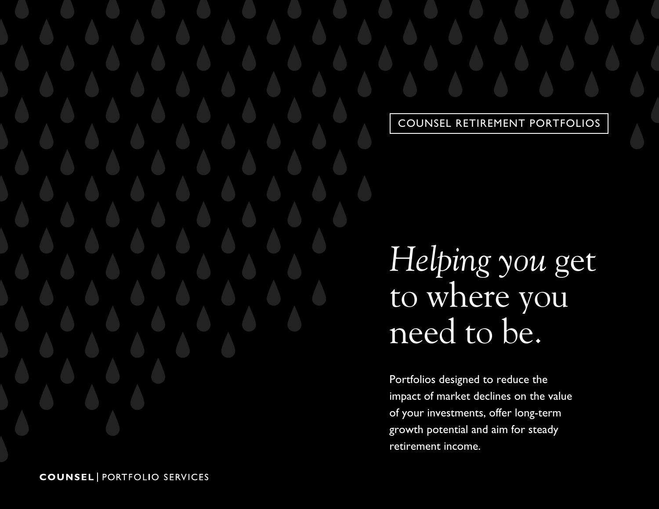COUNSEL RETIREMENT PORTFOLIOS

*Helping you* get to where you need to be.

Portfolios designed to reduce the impact of market declines on the value of your investments, offer long-term growth potential and aim for steady retirement income.

**COUNSEL | PORTFOLIO SERVICES**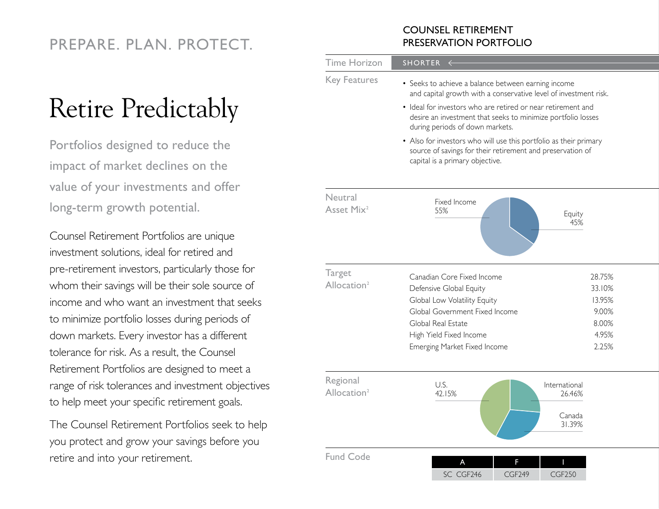### PREPARE. PLAN. PROTECT.

# Retire Predictably

Portfolios designed to reduce the impact of market declines on the value of your investments and offer long-term growth potential.

Counsel Retirement Portfolios are unique investment solutions, ideal for retired and pre-retirement investors, particularly those for whom their savings will be their sole source of income and who want an investment that seeks to minimize portfolio losses during periods of down markets. Every investor has a different tolerance for risk. As a result, the Counsel Retirement Portfolios are designed to meet a range of risk tolerances and investment objectives to help meet your specific retirement goals.

The Counsel Retirement Portfolios seek to help you protect and grow your savings before you retire and into your retirement.

#### COUNSEL RETIREMENT PRESERVATION PORTFOLIO

| <b>Time Horizon</b>                      | <b>SHORTER</b><br>$\Leftarrow$                                                                                                                                                                                                                                                                                                                                                                                                                                   |                                                                |
|------------------------------------------|------------------------------------------------------------------------------------------------------------------------------------------------------------------------------------------------------------------------------------------------------------------------------------------------------------------------------------------------------------------------------------------------------------------------------------------------------------------|----------------------------------------------------------------|
| <b>Key Features</b>                      | • Seeks to achieve a balance between earning income<br>and capital growth with a conservative level of investment risk.<br>• Ideal for investors who are retired or near retirement and<br>desire an investment that seeks to minimize portfolio losses<br>during periods of down markets.<br>• Also for investors who will use this portfolio as their primary<br>source of savings for their retirement and preservation of<br>capital is a primary objective. |                                                                |
| Neutral<br>Asset Mix <sup>2</sup>        | Fixed Income<br>55%                                                                                                                                                                                                                                                                                                                                                                                                                                              | Equity<br>45%                                                  |
| <b>Target</b><br>Allocation <sup>2</sup> | Canadian Core Fixed Income<br>Defensive Global Equity<br>Global Low Volatility Equity<br>Global Government Fixed Income<br>Global Real Estate<br>High Yield Fixed Income<br>Emerging Market Fixed Income                                                                                                                                                                                                                                                         | 28.75%<br>33.10%<br>13.95%<br>9.00%<br>8.00%<br>4.95%<br>2.25% |
| Regional<br>Allocation <sup>2</sup>      | U.S.<br>42.15%                                                                                                                                                                                                                                                                                                                                                                                                                                                   | International<br>26.46%<br>Canada<br>31.39%                    |
| <b>Fund Code</b>                         | A<br>F<br>SC CGF246<br><b>CGF249</b>                                                                                                                                                                                                                                                                                                                                                                                                                             | Т<br><b>CGF250</b>                                             |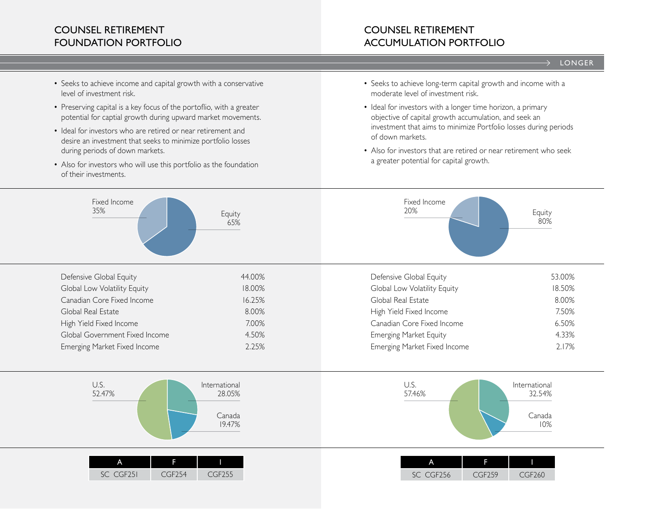### COUNSEL RETIREMENT FOUNDATION PORTFOLIO

#### COUNSEL RETIREMENT ACCUMULATION PORTFOLIO

#### $\rightarrow$  LONGER

- Seeks to achieve income and capital growth with a conservative level of investment risk.
- Preserving capital is a key focus of the portoflio, with a greater potential for captial growth during upward market movements.
- Ideal for investors who are retired or near retirement and desire an investment that seeks to minimize portfolio losses during periods of down markets.
- Also for investors who will use this portfolio as the foundation of their investments.
- Seeks to achieve long-term capital growth and income with a moderate level of investment risk.
- Ideal for investors with a longer time horizon, a primary objective of capital growth accumulation, and seek an investment that aims to minimize Portfolio losses during periods of down markets.
- Also for investors that are retired or near retirement who seek a greater potential for capital growth.